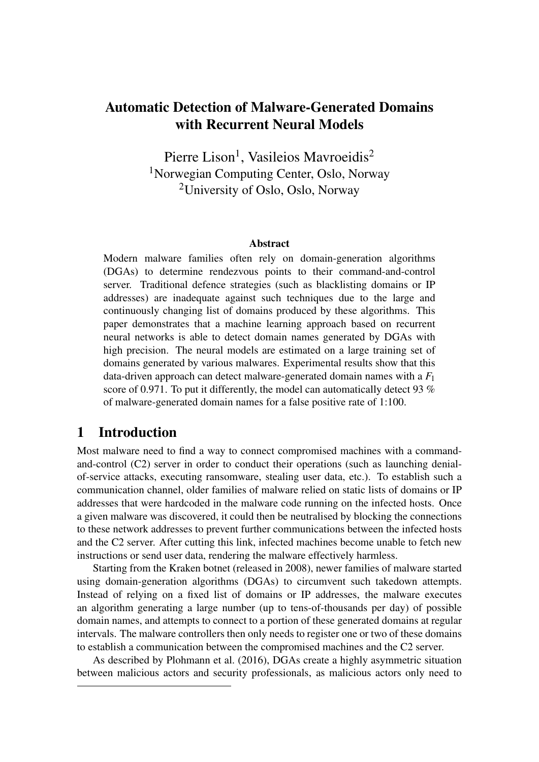# Automatic Detection of Malware-Generated Domains with Recurrent Neural Models

Pierre Lison<sup>1</sup>, Vasileios Mavroeidis<sup>2</sup> <sup>1</sup>Norwegian Computing Center, Oslo, Norway <sup>2</sup>University of Oslo, Oslo, Norway

#### Abstract

Modern malware families often rely on domain-generation algorithms (DGAs) to determine rendezvous points to their command-and-control server. Traditional defence strategies (such as blacklisting domains or IP addresses) are inadequate against such techniques due to the large and continuously changing list of domains produced by these algorithms. This paper demonstrates that a machine learning approach based on recurrent neural networks is able to detect domain names generated by DGAs with high precision. The neural models are estimated on a large training set of domains generated by various malwares. Experimental results show that this data-driven approach can detect malware-generated domain names with a *F*<sup>1</sup> score of 0.971. To put it differently, the model can automatically detect 93 % of malware-generated domain names for a false positive rate of 1:100.

### 1 Introduction

Most malware need to find a way to connect compromised machines with a commandand-control (C2) server in order to conduct their operations (such as launching denialof-service attacks, executing ransomware, stealing user data, etc.). To establish such a communication channel, older families of malware relied on static lists of domains or IP addresses that were hardcoded in the malware code running on the infected hosts. Once a given malware was discovered, it could then be neutralised by blocking the connections to these network addresses to prevent further communications between the infected hosts and the C2 server. After cutting this link, infected machines become unable to fetch new instructions or send user data, rendering the malware effectively harmless.

Starting from the Kraken botnet (released in 2008), newer families of malware started using domain-generation algorithms (DGAs) to circumvent such takedown attempts. Instead of relying on a fixed list of domains or IP addresses, the malware executes an algorithm generating a large number (up to tens-of-thousands per day) of possible domain names, and attempts to connect to a portion of these generated domains at regular intervals. The malware controllers then only needs to register one or two of these domains to establish a communication between the compromised machines and the C2 server.

As described by Plohmann et al. (2016), DGAs create a highly asymmetric situation between malicious actors and security professionals, as malicious actors only need to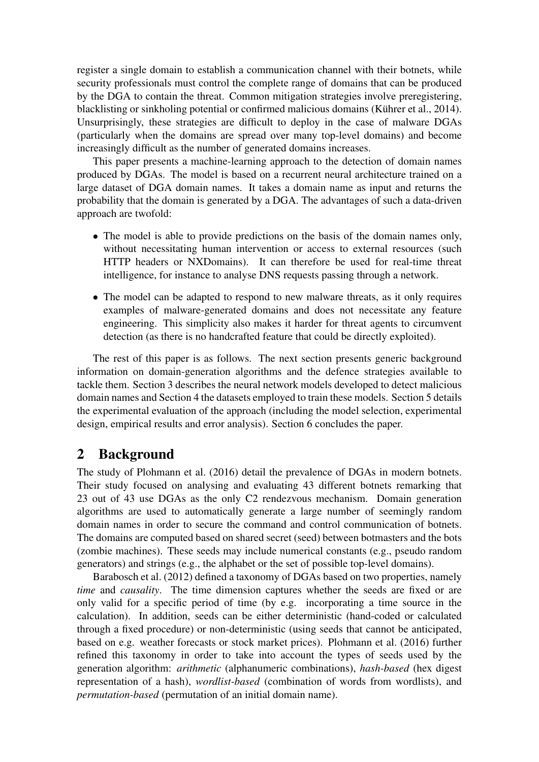register a single domain to establish a communication channel with their botnets, while security professionals must control the complete range of domains that can be produced by the DGA to contain the threat. Common mitigation strategies involve preregistering, blacklisting or sinkholing potential or confirmed malicious domains (Kührer et al., 2014). Unsurprisingly, these strategies are difficult to deploy in the case of malware DGAs (particularly when the domains are spread over many top-level domains) and become increasingly difficult as the number of generated domains increases.

This paper presents a machine-learning approach to the detection of domain names produced by DGAs. The model is based on a recurrent neural architecture trained on a large dataset of DGA domain names. It takes a domain name as input and returns the probability that the domain is generated by a DGA. The advantages of such a data-driven approach are twofold:

- The model is able to provide predictions on the basis of the domain names only, without necessitating human intervention or access to external resources (such HTTP headers or NXDomains). It can therefore be used for real-time threat intelligence, for instance to analyse DNS requests passing through a network.
- The model can be adapted to respond to new malware threats, as it only requires examples of malware-generated domains and does not necessitate any feature engineering. This simplicity also makes it harder for threat agents to circumvent detection (as there is no handcrafted feature that could be directly exploited).

The rest of this paper is as follows. The next section presents generic background information on domain-generation algorithms and the defence strategies available to tackle them. Section 3 describes the neural network models developed to detect malicious domain names and Section 4 the datasets employed to train these models. Section 5 details the experimental evaluation of the approach (including the model selection, experimental design, empirical results and error analysis). Section 6 concludes the paper.

## 2 Background

The study of Plohmann et al. (2016) detail the prevalence of DGAs in modern botnets. Their study focused on analysing and evaluating 43 different botnets remarking that 23 out of 43 use DGAs as the only C2 rendezvous mechanism. Domain generation algorithms are used to automatically generate a large number of seemingly random domain names in order to secure the command and control communication of botnets. The domains are computed based on shared secret (seed) between botmasters and the bots (zombie machines). These seeds may include numerical constants (e.g., pseudo random generators) and strings (e.g., the alphabet or the set of possible top-level domains).

Barabosch et al. (2012) defined a taxonomy of DGAs based on two properties, namely *time* and *causality*. The time dimension captures whether the seeds are fixed or are only valid for a specific period of time (by e.g. incorporating a time source in the calculation). In addition, seeds can be either deterministic (hand-coded or calculated through a fixed procedure) or non-deterministic (using seeds that cannot be anticipated, based on e.g. weather forecasts or stock market prices). Plohmann et al. (2016) further refined this taxonomy in order to take into account the types of seeds used by the generation algorithm: *arithmetic* (alphanumeric combinations), *hash-based* (hex digest representation of a hash), *wordlist-based* (combination of words from wordlists), and *permutation-based* (permutation of an initial domain name).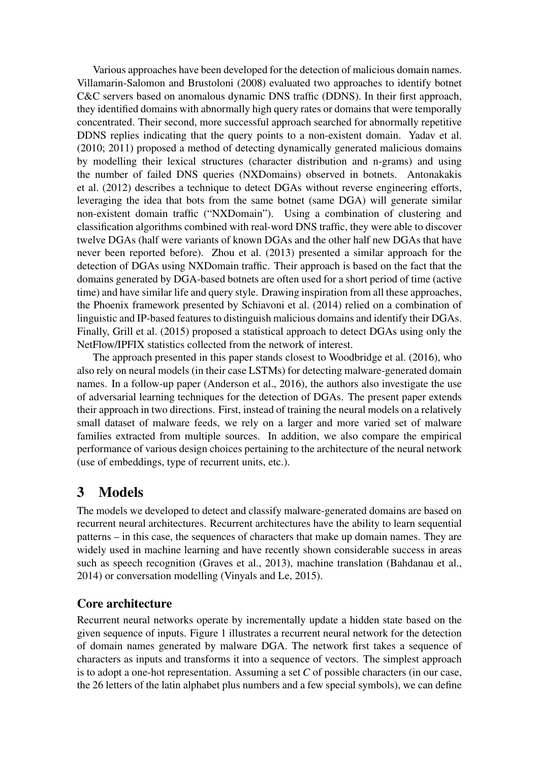Various approaches have been developed for the detection of malicious domain names. Villamarin-Salomon and Brustoloni (2008) evaluated two approaches to identify botnet C&C servers based on anomalous dynamic DNS traffic (DDNS). In their first approach, they identified domains with abnormally high query rates or domains that were temporally concentrated. Their second, more successful approach searched for abnormally repetitive DDNS replies indicating that the query points to a non-existent domain. Yadav et al. (2010; 2011) proposed a method of detecting dynamically generated malicious domains by modelling their lexical structures (character distribution and n-grams) and using the number of failed DNS queries (NXDomains) observed in botnets. Antonakakis et al. (2012) describes a technique to detect DGAs without reverse engineering efforts, leveraging the idea that bots from the same botnet (same DGA) will generate similar non-existent domain traffic ("NXDomain"). Using a combination of clustering and classification algorithms combined with real-word DNS traffic, they were able to discover twelve DGAs (half were variants of known DGAs and the other half new DGAs that have never been reported before). Zhou et al. (2013) presented a similar approach for the detection of DGAs using NXDomain traffic. Their approach is based on the fact that the domains generated by DGA-based botnets are often used for a short period of time (active time) and have similar life and query style. Drawing inspiration from all these approaches, the Phoenix framework presented by Schiavoni et al. (2014) relied on a combination of linguistic and IP-based features to distinguish malicious domains and identify their DGAs. Finally, Grill et al. (2015) proposed a statistical approach to detect DGAs using only the NetFlow/IPFIX statistics collected from the network of interest.

The approach presented in this paper stands closest to Woodbridge et al. (2016), who also rely on neural models (in their case LSTMs) for detecting malware-generated domain names. In a follow-up paper (Anderson et al., 2016), the authors also investigate the use of adversarial learning techniques for the detection of DGAs. The present paper extends their approach in two directions. First, instead of training the neural models on a relatively small dataset of malware feeds, we rely on a larger and more varied set of malware families extracted from multiple sources. In addition, we also compare the empirical performance of various design choices pertaining to the architecture of the neural network (use of embeddings, type of recurrent units, etc.).

# 3 Models

The models we developed to detect and classify malware-generated domains are based on recurrent neural architectures. Recurrent architectures have the ability to learn sequential patterns – in this case, the sequences of characters that make up domain names. They are widely used in machine learning and have recently shown considerable success in areas such as speech recognition (Graves et al., 2013), machine translation (Bahdanau et al., 2014) or conversation modelling (Vinyals and Le, 2015).

## Core architecture

Recurrent neural networks operate by incrementally update a hidden state based on the given sequence of inputs. Figure 1 illustrates a recurrent neural network for the detection of domain names generated by malware DGA. The network first takes a sequence of characters as inputs and transforms it into a sequence of vectors. The simplest approach is to adopt a one-hot representation. Assuming a set *C* of possible characters (in our case, the 26 letters of the latin alphabet plus numbers and a few special symbols), we can define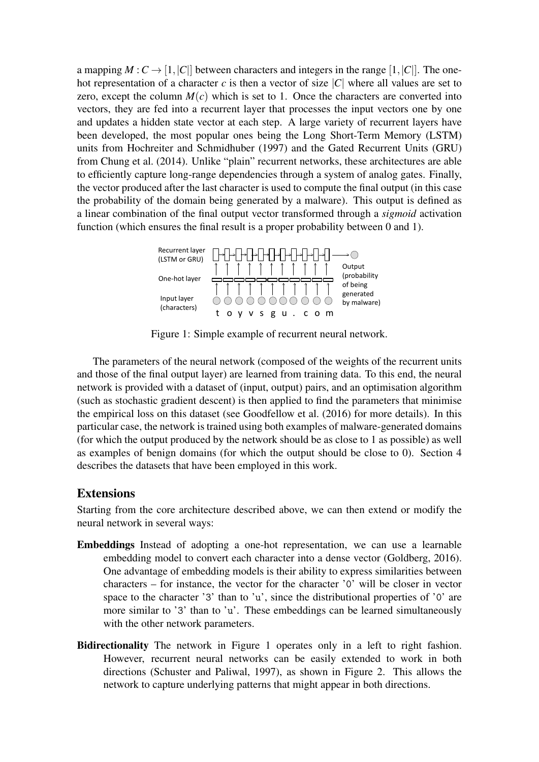a mapping  $M: C \to [1, |C|]$  between characters and integers in the range [1, |*C*||. The onehot representation of a character  $c$  is then a vector of size  $|C|$  where all values are set to zero, except the column  $M(c)$  which is set to 1. Once the characters are converted into vectors, they are fed into a recurrent layer that processes the input vectors one by one and updates a hidden state vector at each step. A large variety of recurrent layers have been developed, the most popular ones being the Long Short-Term Memory (LSTM) units from Hochreiter and Schmidhuber (1997) and the Gated Recurrent Units (GRU) from Chung et al. (2014). Unlike "plain" recurrent networks, these architectures are able to efficiently capture long-range dependencies through a system of analog gates. Finally, the vector produced after the last character is used to compute the final output (in this case the probability of the domain being generated by a malware). This output is defined as a linear combination of the final output vector transformed through a *sigmoid* activation function (which ensures the final result is a proper probability between 0 and 1).



Figure 1: Simple example of recurrent neural network.

The parameters of the neural network (composed of the weights of the recurrent units and those of the final output layer) are learned from training data. To this end, the neural network is provided with a dataset of (input, output) pairs, and an optimisation algorithm (such as stochastic gradient descent) is then applied to find the parameters that minimise the empirical loss on this dataset (see Goodfellow et al. (2016) for more details). In this particular case, the network is trained using both examples of malware-generated domains (for which the output produced by the network should be as close to 1 as possible) as well as examples of benign domains (for which the output should be close to 0). Section 4 describes the datasets that have been employed in this work.

#### Extensions

Starting from the core architecture described above, we can then extend or modify the neural network in several ways:

- Embeddings Instead of adopting a one-hot representation, we can use a learnable embedding model to convert each character into a dense vector (Goldberg, 2016). One advantage of embedding models is their ability to express similarities between characters – for instance, the vector for the character '0' will be closer in vector space to the character '3' than to 'u', since the distributional properties of '0' are more similar to '3' than to 'u'. These embeddings can be learned simultaneously with the other network parameters.
- Bidirectionality The network in Figure 1 operates only in a left to right fashion. However, recurrent neural networks can be easily extended to work in both directions (Schuster and Paliwal, 1997), as shown in Figure 2. This allows the network to capture underlying patterns that might appear in both directions.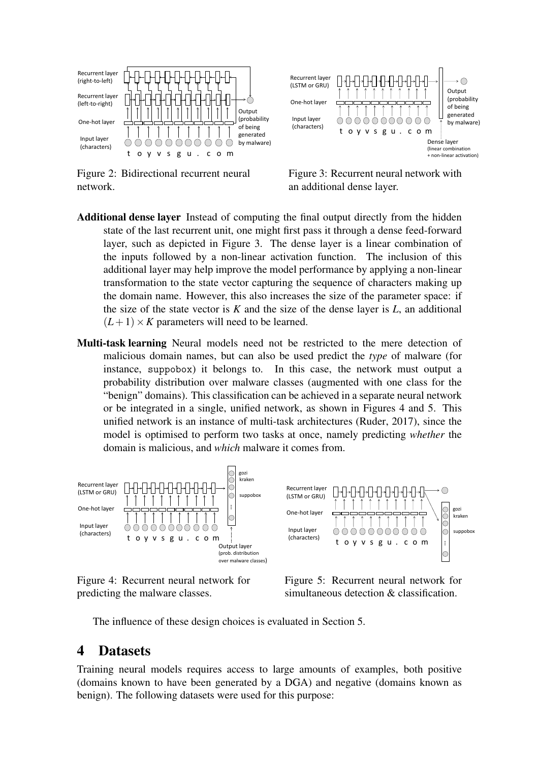



Figure 2: Bidirectional recurrent neural network.

Figure 3: Recurrent neural network with an additional dense layer.

- Additional dense layer Instead of computing the final output directly from the hidden state of the last recurrent unit, one might first pass it through a dense feed-forward layer, such as depicted in Figure 3. The dense layer is a linear combination of the inputs followed by a non-linear activation function. The inclusion of this additional layer may help improve the model performance by applying a non-linear transformation to the state vector capturing the sequence of characters making up the domain name. However, this also increases the size of the parameter space: if the size of the state vector is *K* and the size of the dense layer is *L*, an additional  $(L+1) \times K$  parameters will need to be learned.
- Multi-task learning Neural models need not be restricted to the mere detection of malicious domain names, but can also be used predict the *type* of malware (for instance, suppobox) it belongs to. In this case, the network must output a probability distribution over malware classes (augmented with one class for the "benign" domains). This classification can be achieved in a separate neural network or be integrated in a single, unified network, as shown in Figures 4 and 5. This unified network is an instance of multi-task architectures (Ruder, 2017), since the model is optimised to perform two tasks at once, namely predicting *whether* the domain is malicious, and *which* malware it comes from.



Figure 4: Recurrent neural network for predicting the malware classes.

Figure 5: Recurrent neural network for simultaneous detection & classification.

The influence of these design choices is evaluated in Section 5.

## 4 Datasets

Training neural models requires access to large amounts of examples, both positive (domains known to have been generated by a DGA) and negative (domains known as benign). The following datasets were used for this purpose: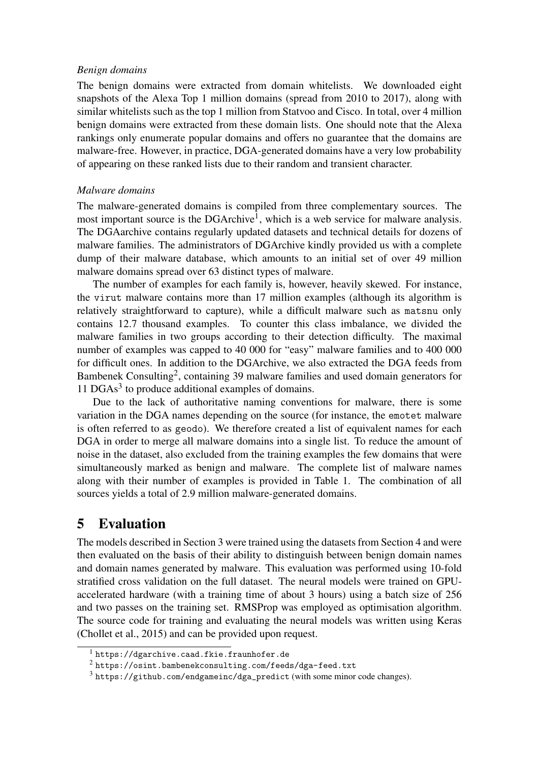#### *Benign domains*

The benign domains were extracted from domain whitelists. We downloaded eight snapshots of the Alexa Top 1 million domains (spread from 2010 to 2017), along with similar whitelists such as the top 1 million from Statvoo and Cisco. In total, over 4 million benign domains were extracted from these domain lists. One should note that the Alexa rankings only enumerate popular domains and offers no guarantee that the domains are malware-free. However, in practice, DGA-generated domains have a very low probability of appearing on these ranked lists due to their random and transient character.

#### *Malware domains*

The malware-generated domains is compiled from three complementary sources. The most important source is the DGArchive<sup>1</sup>, which is a web service for malware analysis. The DGAarchive contains regularly updated datasets and technical details for dozens of malware families. The administrators of DGArchive kindly provided us with a complete dump of their malware database, which amounts to an initial set of over 49 million malware domains spread over 63 distinct types of malware.

The number of examples for each family is, however, heavily skewed. For instance, the virut malware contains more than 17 million examples (although its algorithm is relatively straightforward to capture), while a difficult malware such as matsnu only contains 12.7 thousand examples. To counter this class imbalance, we divided the malware families in two groups according to their detection difficulty. The maximal number of examples was capped to 40 000 for "easy" malware families and to 400 000 for difficult ones. In addition to the DGArchive, we also extracted the DGA feeds from Bambenek Consulting<sup>2</sup>, containing 39 malware families and used domain generators for 11 DGAs<sup>3</sup> to produce additional examples of domains.

Due to the lack of authoritative naming conventions for malware, there is some variation in the DGA names depending on the source (for instance, the emotet malware is often referred to as geodo). We therefore created a list of equivalent names for each DGA in order to merge all malware domains into a single list. To reduce the amount of noise in the dataset, also excluded from the training examples the few domains that were simultaneously marked as benign and malware. The complete list of malware names along with their number of examples is provided in Table 1. The combination of all sources yields a total of 2.9 million malware-generated domains.

# 5 Evaluation

The models described in Section 3 were trained using the datasets from Section 4 and were then evaluated on the basis of their ability to distinguish between benign domain names and domain names generated by malware. This evaluation was performed using 10-fold stratified cross validation on the full dataset. The neural models were trained on GPUaccelerated hardware (with a training time of about 3 hours) using a batch size of 256 and two passes on the training set. RMSProp was employed as optimisation algorithm. The source code for training and evaluating the neural models was written using Keras (Chollet et al., 2015) and can be provided upon request.

<sup>&</sup>lt;sup>1</sup> https://dgarchive.caad.fkie.fraunhofer.de

 $2$  https://osint.bambenekconsulting.com/feeds/dga-feed.txt

<sup>3</sup> https://github.com/endgameinc/dga\_predict (with some minor code changes).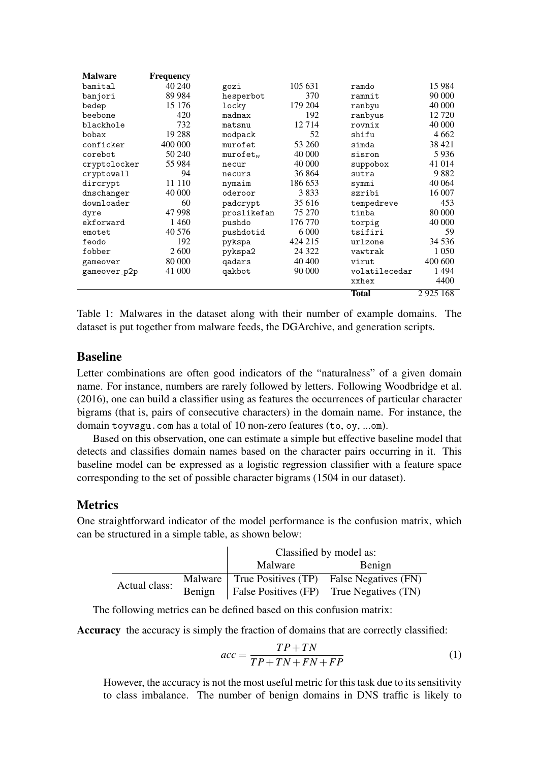| <b>Malware</b> | <b>Frequency</b> |             |         |               |          |
|----------------|------------------|-------------|---------|---------------|----------|
| bamital        | 40 240           | gozi        | 105 631 | ramdo         | 15 9 84  |
| banjori        | 89 9 84          | hesperbot   | 370     | ramnit        | 90 000   |
| bedep          | 15 176           | locky       | 179 204 | ranbyu        | 40 000   |
| beebone        | 420              | madmax      | 192     | ranbyus       | 12 720   |
| blackhole      | 732              | matsnu      | 12714   | rovnix        | 40 000   |
| bobax          | 19 28 8          | modpack     | 52      | shifu         | 4 6 6 2  |
| conficker      | 400 000          | murofet     | 53 260  | simda         | 38 4 21  |
| corebot        | 50 240           | $murofet_w$ | 40 000  | sisron        | 5936     |
| cryptolocker   | 55 984           | necur       | 40 000  | suppobox      | 41 014   |
| cryptowall     | 94               | necurs      | 36 864  | sutra         | 9882     |
| dircrypt       | 11 110           | nymaim      | 186 653 | symmi         | 40 064   |
| dnschanger     | 40 000           | oderoor     | 3833    | szribi        | 16 007   |
| downloader     | 60               | padcrypt    | 35 616  | tempedreve    | 453      |
| dyre           | 47 998           | proslikefan | 75 270  | tinba         | 80 000   |
| ekforward      | 1460             | pushdo      | 176 770 | torpig        | 40 000   |
| emotet         | 40 576           | pushdotid   | 6 0 0 0 | tsifiri       | 59       |
| feodo          | 192              | pykspa      | 424 215 | urlzone       | 34 5 36  |
| fobber         | 2600             | pykspa2     | 24 3 22 | vawtrak       | 1 0 5 0  |
| gameover       | 80 000           | qadars      | 40 400  | virut         | 400 600  |
| gameover_p2p   | 41 000           | qakbot      | 90 000  | volatilecedar | 1494     |
|                |                  |             |         | xxhex         | 4400     |
|                |                  |             |         | <b>Total</b>  | 2925 168 |

Table 1: Malwares in the dataset along with their number of example domains. The dataset is put together from malware feeds, the DGArchive, and generation scripts.

### Baseline

Letter combinations are often good indicators of the "naturalness" of a given domain name. For instance, numbers are rarely followed by letters. Following Woodbridge et al. (2016), one can build a classifier using as features the occurrences of particular character bigrams (that is, pairs of consecutive characters) in the domain name. For instance, the domain toyvsgu.com has a total of 10 non-zero features (to, oy, ...om).

Based on this observation, one can estimate a simple but effective baseline model that detects and classifies domain names based on the character pairs occurring in it. This baseline model can be expressed as a logistic regression classifier with a feature space corresponding to the set of possible character bigrams (1504 in our dataset).

### **Metrics**

One straightforward indicator of the model performance is the confusion matrix, which can be structured in a simple table, as shown below:

|               |        | Classified by model as: |                                                  |  |  |
|---------------|--------|-------------------------|--------------------------------------------------|--|--|
| Malware       |        | Benign                  |                                                  |  |  |
| Actual class: |        |                         | Malware True Positives (TP) False Negatives (FN) |  |  |
|               | Benign |                         | $\vert$ False Positives (FP) True Negatives (TN) |  |  |

The following metrics can be defined based on this confusion matrix:

Accuracy the accuracy is simply the fraction of domains that are correctly classified:

$$
acc = \frac{TP + TN}{TP + TN + FN + FP}
$$
 (1)

However, the accuracy is not the most useful metric for this task due to its sensitivity to class imbalance. The number of benign domains in DNS traffic is likely to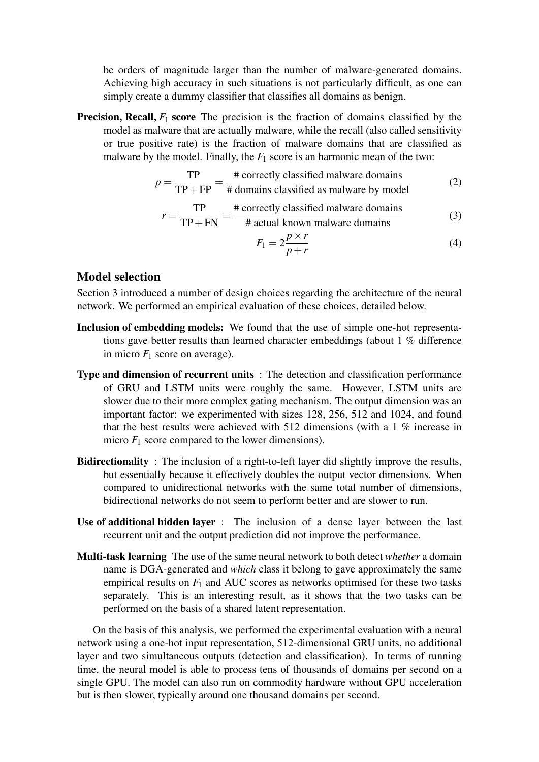be orders of magnitude larger than the number of malware-generated domains. Achieving high accuracy in such situations is not particularly difficult, as one can simply create a dummy classifier that classifies all domains as benign.

**Precision, Recall,**  $F_1$  score The precision is the fraction of domains classified by the model as malware that are actually malware, while the recall (also called sensitivity or true positive rate) is the fraction of malware domains that are classified as malware by the model. Finally, the  $F_1$  score is an harmonic mean of the two:

$$
p = \frac{TP}{TP + FP} = \frac{\text{\# correctly classified malware domains}}{\text{\# domains classified as malware by model}}
$$
(2)

$$
r = \frac{\text{TP}}{\text{TP} + \text{FN}} = \frac{\text{\# correctly classified malware domains}}{\text{\# actual known malware domains}} \tag{3}
$$

# actual known malware domains  
\n
$$
F_1 = 2\frac{p \times r}{p+r}
$$
\n(4)

### Model selection

Section 3 introduced a number of design choices regarding the architecture of the neural network. We performed an empirical evaluation of these choices, detailed below.

- Inclusion of embedding models: We found that the use of simple one-hot representations gave better results than learned character embeddings (about 1 % difference in micro  $F_1$  score on average).
- Type and dimension of recurrent units : The detection and classification performance of GRU and LSTM units were roughly the same. However, LSTM units are slower due to their more complex gating mechanism. The output dimension was an important factor: we experimented with sizes 128, 256, 512 and 1024, and found that the best results were achieved with 512 dimensions (with a 1 % increase in micro  $F_1$  score compared to the lower dimensions).
- **Bidirectionality**: The inclusion of a right-to-left layer did slightly improve the results, but essentially because it effectively doubles the output vector dimensions. When compared to unidirectional networks with the same total number of dimensions, bidirectional networks do not seem to perform better and are slower to run.
- Use of additional hidden layer : The inclusion of a dense layer between the last recurrent unit and the output prediction did not improve the performance.
- Multi-task learning The use of the same neural network to both detect *whether* a domain name is DGA-generated and *which* class it belong to gave approximately the same empirical results on  $F_1$  and AUC scores as networks optimised for these two tasks separately. This is an interesting result, as it shows that the two tasks can be performed on the basis of a shared latent representation.

On the basis of this analysis, we performed the experimental evaluation with a neural network using a one-hot input representation, 512-dimensional GRU units, no additional layer and two simultaneous outputs (detection and classification). In terms of running time, the neural model is able to process tens of thousands of domains per second on a single GPU. The model can also run on commodity hardware without GPU acceleration but is then slower, typically around one thousand domains per second.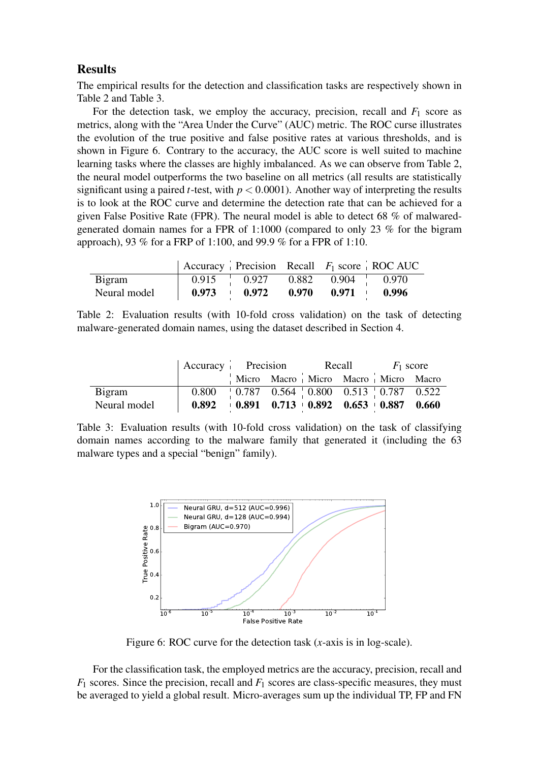### **Results**

The empirical results for the detection and classification tasks are respectively shown in Table 2 and Table 3.

For the detection task, we employ the accuracy, precision, recall and  $F_1$  score as metrics, along with the "Area Under the Curve" (AUC) metric. The ROC curse illustrates the evolution of the true positive and false positive rates at various thresholds, and is shown in Figure 6. Contrary to the accuracy, the AUC score is well suited to machine learning tasks where the classes are highly imbalanced. As we can observe from Table 2, the neural model outperforms the two baseline on all metrics (all results are statistically significant using a paired *t*-test, with  $p < 0.0001$ ). Another way of interpreting the results is to look at the ROC curve and determine the detection rate that can be achieved for a given False Positive Rate (FPR). The neural model is able to detect 68 % of malwaredgenerated domain names for a FPR of 1:1000 (compared to only 23 % for the bigram approach), 93 % for a FRP of 1:100, and 99.9 % for a FPR of 1:10.

|               |       |                                         |       |       | Accuracy Precision Recall $F_1$ score ROC AUC |
|---------------|-------|-----------------------------------------|-------|-------|-----------------------------------------------|
| <b>Bigram</b> |       | $0.915$ $0.927$ $0.882$ $0.904$ $0.970$ |       |       |                                               |
| Neural model  | 0.973 | 0.972                                   | 0.970 | 0.971 | 0.996                                         |

Table 2: Evaluation results (with 10-fold cross validation) on the task of detecting malware-generated domain names, using the dataset described in Section 4.

|              |                                                                           |  |  | $\text{Accuracy}$ Precision Recall $F_1$ score |                                     |  |  |
|--------------|---------------------------------------------------------------------------|--|--|------------------------------------------------|-------------------------------------|--|--|
|              |                                                                           |  |  |                                                | Micro Macro Micro Macro Micro Macro |  |  |
| Bigram       | $0.800$   0.787 0.564   0.800 0.513   0.787 0.522                         |  |  |                                                |                                     |  |  |
| Neural model | $0.892 \t\t 0.891 \t\t 0.713 \t\t 0.892 \t\t 0.653 \t\t 0.887 \t\t 0.660$ |  |  |                                                |                                     |  |  |

Table 3: Evaluation results (with 10-fold cross validation) on the task of classifying domain names according to the malware family that generated it (including the 63 malware types and a special "benign" family).



Figure 6: ROC curve for the detection task (*x*-axis is in log-scale).

For the classification task, the employed metrics are the accuracy, precision, recall and *F*<sup>1</sup> scores. Since the precision, recall and *F*<sup>1</sup> scores are class-specific measures, they must be averaged to yield a global result. Micro-averages sum up the individual TP, FP and FN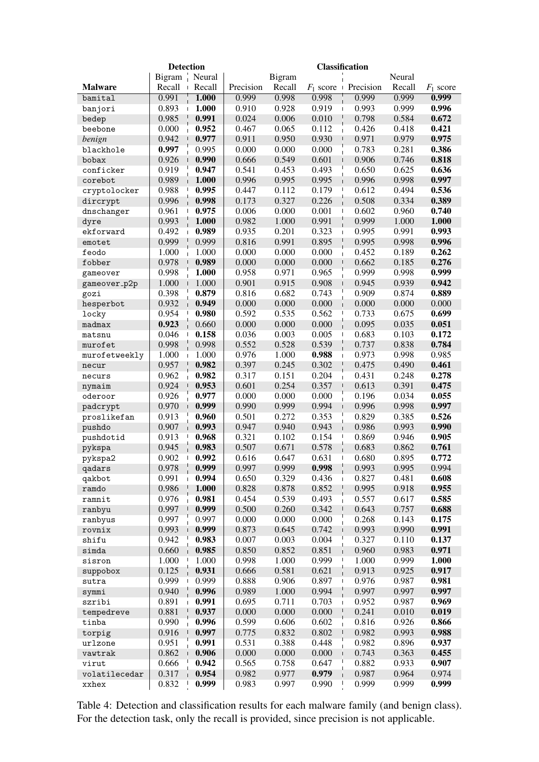|                     | <b>Detection</b><br><b>Classification</b> |        |           |               |                                   |                       |        |             |
|---------------------|-------------------------------------------|--------|-----------|---------------|-----------------------------------|-----------------------|--------|-------------|
|                     | Bigram                                    | Neural |           | <b>Bigram</b> |                                   |                       | Neural |             |
| <b>Malware</b>      | Recall                                    | Recall | Precision | Recall        | $F_1$ score $\perp$               | Precision             | Recall | $F_1$ score |
| bamital             | 0.991                                     | 1.000  | 0.999     | 0.998         | 0.998                             | 0.999                 | 0.999  | 0.999       |
| banjori             | 0.893                                     | 1.000  | 0.910     | 0.928         | 0.919<br>$\mathbf{I}$             | 0.993                 | 0.999  | 0.996       |
| bedep               | 0.985                                     | 0.991  | 0.024     | 0.006         | 0.010                             | 0.798                 | 0.584  | 0.672       |
| beebone             | 0.000                                     | 0.952  | 0.467     | 0.065         | 0.112                             | 0.426                 | 0.418  | 0.421       |
| benign              | 0.942                                     | 0.977  | 0.911     | 0.950         | 0.930<br>J                        | 0.971                 | 0.979  | 0.975       |
| blackhole           | 0.997                                     | 0.995  | 0.000     | 0.000         | 0.000                             | 0.783                 | 0.281  | 0.386       |
| bobax               | 0.926                                     | 0.990  | 0.666     | 0.549         | 0.601                             | 0.906<br>$\mathbf{I}$ | 0.746  | 0.818       |
| conficker           | 0.919                                     | 0.947  | 0.541     | 0.453         | 0.493                             | 0.650                 | 0.625  | 0.636       |
| corebot             | 0.989                                     | 1.000  | 0.996     | 0.995         | 0.995                             | 0.996<br>$\mathbf{I}$ | 0.998  | 0.997       |
| cryptolocker        | 0.988                                     | 0.995  | 0.447     | 0.112         | 0.179                             | $\mathsf{I}$<br>0.612 | 0.494  | 0.536       |
| dircrypt            | 0.996                                     | 0.998  | 0.173     | 0.327         | 0.226                             | 0.508                 | 0.334  | 0.389       |
| dnschanger          | 0.961                                     | 0.975  | 0.006     | 0.000         | 0.001                             | 0.602<br>$\mathbf{I}$ | 0.960  | 0.740       |
| dyre                | 0.993                                     | 1.000  | 0.982     | 1.000         | 0.991                             | 0.999                 | 1.000  | 1.000       |
| ekforward           | 0.492                                     | 0.989  | 0.935     | 0.201         | 0.323<br>$\mathbf{I}$             | 0.995                 | 0.991  | 0.993       |
| emotet              | 0.999                                     | 0.999  | 0.816     | 0.991         | 0.895                             | 0.995                 | 0.998  | 0.996       |
| feodo               | 1.000                                     | 1.000  | 0.000     | 0.000         | 0.000                             | 0.452                 | 0.189  | 0.262       |
| fobber              | 0.978                                     | 0.989  | 0.000     | 0.000         | 0.000                             | 0.662                 | 0.185  | 0.276       |
| gameover            | 0.998                                     | 1.000  | 0.958     | 0.971         | 0.965                             | 0.999                 | 0.998  | 0.999       |
| gameover_p2p        | 1.000                                     | 1.000  | 0.901     | 0.915         | 0.908                             | 0.945                 | 0.939  | 0.942       |
| gozi                | 0.398                                     | 0.879  | 0.816     | 0.682         | 0.743                             | 0.909                 | 0.874  | 0.889       |
| hesperbot           | 0.932                                     | 0.949  | 0.000     | 0.000         | 0.000                             | 0.000                 | 0.000  | 0.000       |
| locky               | 0.954                                     | 0.980  | 0.592     | 0.535         | 0.562<br>$\mathsf{l}$             | 0.733                 | 0.675  | 0.699       |
| madmax              | 0.923                                     | 0.660  | 0.000     | 0.000         | 0.000                             | 0.095                 | 0.035  | 0.051       |
| matsnu              | 0.046                                     | 0.158  | 0.036     | 0.003         | 0.005<br>$\mathbf{I}$             | 0.683                 | 0.103  | 0.172       |
| murofet             | 0.998                                     | 0.998  | 0.552     | 0.528         | 0.539                             | 0.737                 | 0.838  | 0.784       |
| murofetweekly       | 1.000                                     | 1.000  | 0.976     | 1.000         | 0.988<br>$\overline{\phantom{a}}$ | 0.973                 | 0.998  | 0.985       |
| necur               | 0.957                                     | 0.982  | 0.397     | 0.245         | 0.302                             | 0.475                 | 0.490  | 0.461       |
| necurs              | 0.962                                     | 0.982  | 0.317     | 0.151         | 0.204                             | 0.431                 | 0.248  | 0.278       |
| nymaim              | 0.924                                     | 0.953  | 0.601     | 0.254         | 0.357                             | 0.613                 | 0.391  | 0.475       |
| oderoor             | 0.926                                     | 0.977  | 0.000     | 0.000         | 0.000                             | 0.196                 | 0.034  | 0.055       |
| padcrypt            | 0.970                                     | 0.999  | 0.990     | 0.999         | 0.994                             | 0.996<br>$\mathbf{I}$ | 0.998  | 0.997       |
| proslikefan         | 0.913                                     | 0.960  | 0.501     | 0.272         | 0.353                             | 0.829                 | 0.385  | 0.526       |
| pushdo              | 0.907                                     | 0.993  | 0.947     | 0.940         | 0.943                             | 0.986                 | 0.993  | 0.990       |
| pushdotid           | 0.913                                     | 0.968  | 0.321     | 0.102         | 0.154                             | 0.869                 | 0.946  | 0.905       |
|                     | 0.945                                     | 0.983  | 0.507     | 0.671         | 0.578                             | 0.683                 | 0.862  | 0.761       |
| pykspa<br>pykspa2   | 0.902                                     | 0.992  | 0.616     | 0.647         | 0.631<br>$\overline{\phantom{a}}$ | 0.680                 | 0.895  | 0.772       |
| qadars              | 0.978                                     | 0.999  | 0.997     | 0.999         | 0.998                             | 0.993                 | 0.995  | 0.994       |
| qakbot              | 0.991                                     | 0.994  | 0.650     | 0.329         | 0.436                             | 0.827                 | 0.481  | 0.608       |
| ramdo               | 0.986                                     | 1.000  | 0.828     | 0.878         | $\mathsf I$<br>0.852              | 0.995                 | 0.918  | 0.955       |
| ramnit              | 0.976                                     | 0.981  | 0.454     | 0.539         | 0.493                             | 0.557                 | 0.617  | 0.585       |
| ranbyu              | 0.997                                     | 0.999  | 0.500     | 0.260         | 0.342                             | 0.643                 | 0.757  | 0.688       |
| ranbyus             | 0.997                                     | 0.997  | 0.000     | 0.000         | 0.000                             | 0.268                 | 0.143  | 0.175       |
| rovnix              | 0.993                                     | 0.999  | 0.873     | 0.645         | 0.742                             | 0.993                 | 0.990  | 0.991       |
| shifu               | 0.942                                     | 0.983  | 0.007     | 0.003         | 0.004                             | 0.327                 | 0.110  | 0.137       |
| simda               | 0.660                                     | 0.985  | 0.850     | 0.852         | 0.851                             | 0.960                 | 0.983  | 0.971       |
| sisron              | 1.000                                     | 1.000  | 0.998     | 1.000         | 0.999                             | 1.000<br>$\mathsf{I}$ | 0.999  | 1.000       |
| suppobox            | 0.125                                     | 0.931  | 0.666     | 0.581         | 0.621                             | 0.913                 | 0.925  | 0.917       |
|                     | 0.999                                     | 0.999  | 0.888     | 0.906         | 0.897<br>$\mathbf{I}$             | 0.976                 | 0.987  | 0.981       |
| sutra<br>symmi      | 0.940                                     | 0.996  | 0.989     | 1.000         | 0.994                             | 0.997                 | 0.997  | 0.997       |
| szribi              | 0.891                                     | 0.991  | 0.695     | 0.711         | 0.703                             | 0.952                 | 0.987  | 0.969       |
|                     | 0.881                                     | 0.937  | 0.000     | 0.000         | 0.000                             | 0.241                 | 0.010  | 0.019       |
| tempedreve<br>tinba | 0.990                                     | 0.996  | 0.599     | 0.606         | 0.602                             | 0.816                 | 0.926  | 0.866       |
|                     | 0.916                                     | 0.997  | 0.775     | 0.832         | 0.802                             | 0.982                 | 0.993  | 0.988       |
| torpig              | 0.951                                     | 0.991  | 0.531     | 0.388         | 0.448                             | 0.982                 | 0.896  | 0.937       |
| urlzone             | 0.862                                     | 0.906  | 0.000     | 0.000         | 0.000                             | 0.743                 | 0.363  | 0.455       |
| vawtrak             | 0.666                                     | 0.942  | 0.565     | 0.758         | 0.647                             | 0.882                 | 0.933  | 0.907       |
| virut               | 0.317                                     | 0.954  | 0.982     | 0.977         | 0.979                             | 0.987                 | 0.964  | 0.974       |
| volatilecedar       | 0.832                                     | 0.999  | 0.983     | 0.997         | 0.990                             | 0.999                 | 0.999  | 0.999       |
| xxhex               |                                           |        |           |               |                                   |                       |        |             |

Table 4: Detection and classification results for each malware family (and benign class). For the detection task, only the recall is provided, since precision is not applicable.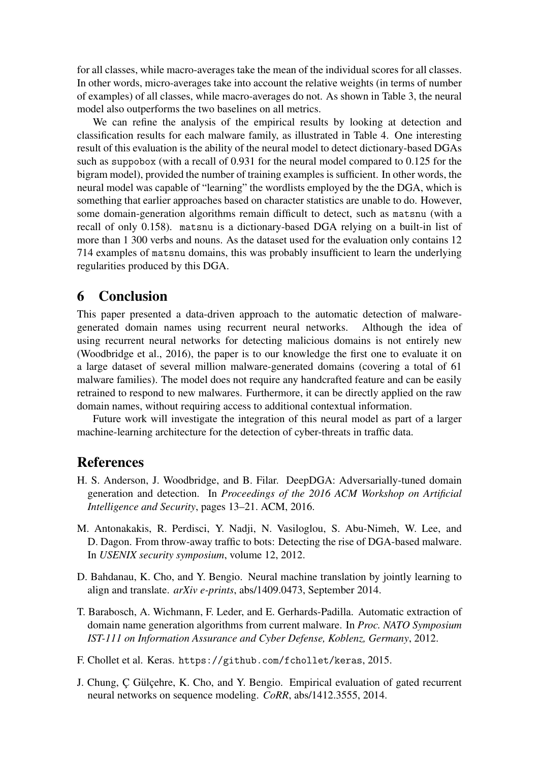for all classes, while macro-averages take the mean of the individual scores for all classes. In other words, micro-averages take into account the relative weights (in terms of number of examples) of all classes, while macro-averages do not. As shown in Table 3, the neural model also outperforms the two baselines on all metrics.

We can refine the analysis of the empirical results by looking at detection and classification results for each malware family, as illustrated in Table 4. One interesting result of this evaluation is the ability of the neural model to detect dictionary-based DGAs such as suppobox (with a recall of 0.931 for the neural model compared to 0.125 for the bigram model), provided the number of training examples is sufficient. In other words, the neural model was capable of "learning" the wordlists employed by the the DGA, which is something that earlier approaches based on character statistics are unable to do. However, some domain-generation algorithms remain difficult to detect, such as matsnu (with a recall of only 0.158). matsnu is a dictionary-based DGA relying on a built-in list of more than 1 300 verbs and nouns. As the dataset used for the evaluation only contains 12 714 examples of matsnu domains, this was probably insufficient to learn the underlying regularities produced by this DGA.

## 6 Conclusion

This paper presented a data-driven approach to the automatic detection of malwaregenerated domain names using recurrent neural networks. Although the idea of using recurrent neural networks for detecting malicious domains is not entirely new (Woodbridge et al., 2016), the paper is to our knowledge the first one to evaluate it on a large dataset of several million malware-generated domains (covering a total of 61 malware families). The model does not require any handcrafted feature and can be easily retrained to respond to new malwares. Furthermore, it can be directly applied on the raw domain names, without requiring access to additional contextual information.

Future work will investigate the integration of this neural model as part of a larger machine-learning architecture for the detection of cyber-threats in traffic data.

### **References**

- H. S. Anderson, J. Woodbridge, and B. Filar. DeepDGA: Adversarially-tuned domain generation and detection. In *Proceedings of the 2016 ACM Workshop on Artificial Intelligence and Security*, pages 13–21. ACM, 2016.
- M. Antonakakis, R. Perdisci, Y. Nadji, N. Vasiloglou, S. Abu-Nimeh, W. Lee, and D. Dagon. From throw-away traffic to bots: Detecting the rise of DGA-based malware. In *USENIX security symposium*, volume 12, 2012.
- D. Bahdanau, K. Cho, and Y. Bengio. Neural machine translation by jointly learning to align and translate. *arXiv e-prints*, abs/1409.0473, September 2014.
- T. Barabosch, A. Wichmann, F. Leder, and E. Gerhards-Padilla. Automatic extraction of domain name generation algorithms from current malware. In *Proc. NATO Symposium IST-111 on Information Assurance and Cyber Defense, Koblenz, Germany*, 2012.
- F. Chollet et al. Keras. https://github.com/fchollet/keras, 2015.
- J. Chung, C Gülcehre, K. Cho, and Y. Bengio. Empirical evaluation of gated recurrent neural networks on sequence modeling. *CoRR*, abs/1412.3555, 2014.